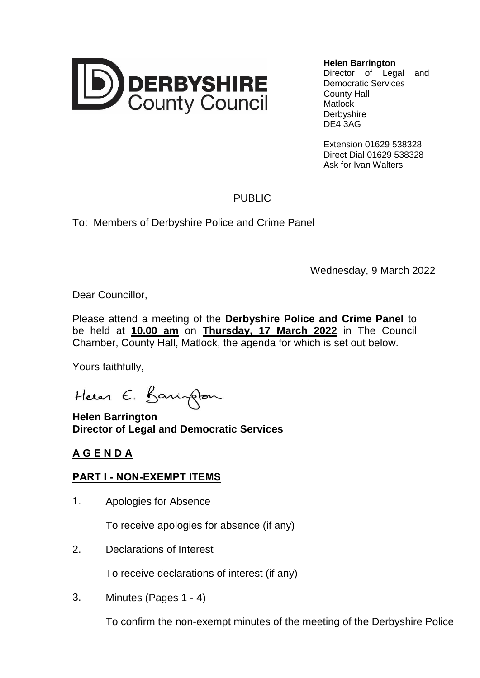

**Helen Barrington**

Director of Legal and Democratic Services County Hall **Matlock Derbyshire** DE4 3AG

Extension 01629 538328 Direct Dial 01629 538328 Ask for Ivan Walters

## PUBLIC

To: Members of Derbyshire Police and Crime Panel

Wednesday, 9 March 2022

Dear Councillor,

Please attend a meeting of the **Derbyshire Police and Crime Panel** to be held at **10.00 am** on **Thursday, 17 March 2022** in The Council Chamber, County Hall, Matlock, the agenda for which is set out below.

Yours faithfully,

Heren E. Barington

**Helen Barrington Director of Legal and Democratic Services**

## **A G E N D A**

## **PART I - NON-EXEMPT ITEMS**

1. Apologies for Absence

To receive apologies for absence (if any)

2. Declarations of Interest

To receive declarations of interest (if any)

3. Minutes (Pages 1 - 4)

To confirm the non-exempt minutes of the meeting of the Derbyshire Police